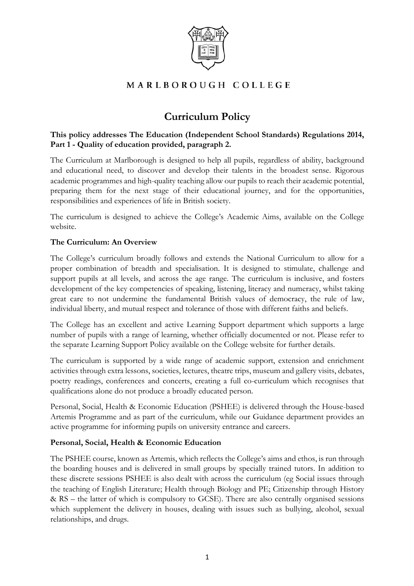

# MARLBOROUGH COLLEGE

# **Curriculum Policy**

# **This policy addresses The Education (Independent School Standards) Regulations 2014, Part 1 - Quality of education provided, paragraph 2.**

The Curriculum at Marlborough is designed to help all pupils, regardless of ability, background and educational need, to discover and develop their talents in the broadest sense. Rigorous academic programmes and high-quality teaching allow our pupils to reach their academic potential, preparing them for the next stage of their educational journey, and for the opportunities, responsibilities and experiences of life in British society.

The curriculum is designed to achieve the College's Academic Aims, available on the College website.

# **The Curriculum: An Overview**

The College's curriculum broadly follows and extends the National Curriculum to allow for a proper combination of breadth and specialisation. It is designed to stimulate, challenge and support pupils at all levels, and across the age range. The curriculum is inclusive, and fosters development of the key competencies of speaking, listening, literacy and numeracy, whilst taking great care to not undermine the fundamental British values of democracy, the rule of law, individual liberty, and mutual respect and tolerance of those with different faiths and beliefs.

The College has an excellent and active Learning Support department which supports a large number of pupils with a range of learning, whether officially documented or not. Please refer to the separate Learning Support Policy available on the College website for further details.

The curriculum is supported by a wide range of academic support, extension and enrichment activities through extra lessons, societies, lectures, theatre trips, museum and gallery visits, debates, poetry readings, conferences and concerts, creating a full co-curriculum which recognises that qualifications alone do not produce a broadly educated person.

Personal, Social, Health & Economic Education (PSHEE) is delivered through the House-based Artemis Programme and as part of the curriculum, while our Guidance department provides an active programme for informing pupils on university entrance and careers.

#### **Personal, Social, Health & Economic Education**

The PSHEE course, known as Artemis, which reflects the College's aims and ethos, is run through the boarding houses and is delivered in small groups by specially trained tutors. In addition to these discrete sessions PSHEE is also dealt with across the curriculum (eg Social issues through the teaching of English Literature; Health through Biology and PE; Citizenship through History & RS – the latter of which is compulsory to GCSE). There are also centrally organised sessions which supplement the delivery in houses, dealing with issues such as bullying, alcohol, sexual relationships, and drugs.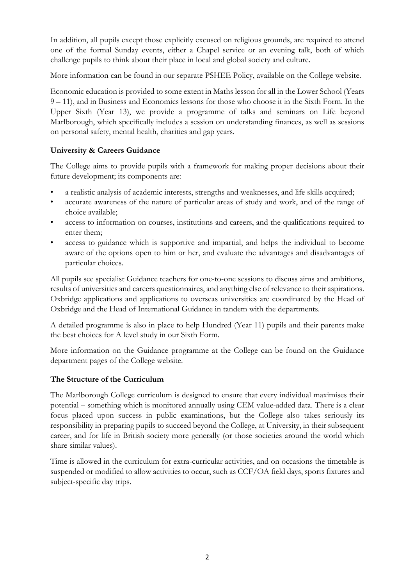In addition, all pupils except those explicitly excused on religious grounds, are required to attend one of the formal Sunday events, either a Chapel service or an evening talk, both of which challenge pupils to think about their place in local and global society and culture.

More information can be found in our separate PSHEE Policy, available on the College website.

Economic education is provided to some extent in Maths lesson for all in the Lower School (Years 9 – 11), and in Business and Economics lessons for those who choose it in the Sixth Form. In the Upper Sixth (Year 13), we provide a programme of talks and seminars on Life beyond Marlborough, which specifically includes a session on understanding finances, as well as sessions on personal safety, mental health, charities and gap years.

# **University & Careers Guidance**

The College aims to provide pupils with a framework for making proper decisions about their future development; its components are:

- a realistic analysis of academic interests, strengths and weaknesses, and life skills acquired;
- accurate awareness of the nature of particular areas of study and work, and of the range of choice available;
- access to information on courses, institutions and careers, and the qualifications required to enter them;
- access to guidance which is supportive and impartial, and helps the individual to become aware of the options open to him or her, and evaluate the advantages and disadvantages of particular choices.

All pupils see specialist Guidance teachers for one-to-one sessions to discuss aims and ambitions, results of universities and careers questionnaires, and anything else of relevance to their aspirations. Oxbridge applications and applications to overseas universities are coordinated by the Head of Oxbridge and the Head of International Guidance in tandem with the departments.

A detailed programme is also in place to help Hundred (Year 11) pupils and their parents make the best choices for A level study in our Sixth Form.

More information on the Guidance programme at the College can be found on the Guidance department pages of the College website.

# **The Structure of the Curriculum**

The Marlborough College curriculum is designed to ensure that every individual maximises their potential – something which is monitored annually using CEM value-added data. There is a clear focus placed upon success in public examinations, but the College also takes seriously its responsibility in preparing pupils to succeed beyond the College, at University, in their subsequent career, and for life in British society more generally (or those societies around the world which share similar values).

Time is allowed in the curriculum for extra-curricular activities, and on occasions the timetable is suspended or modified to allow activities to occur, such as CCF/OA field days, sports fixtures and subject-specific day trips.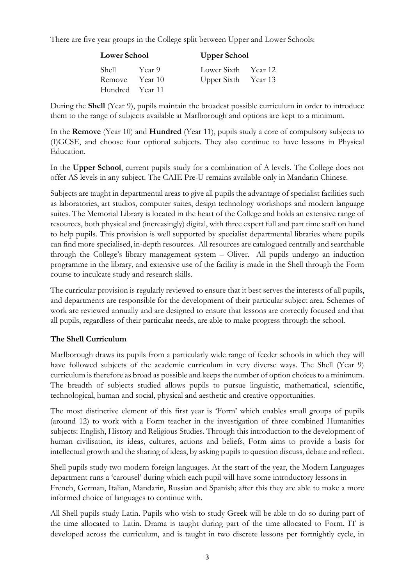There are five year groups in the College split between Upper and Lower Schools:

| <b>Lower School</b> |                   |                     | <b>Upper School</b> |  |
|---------------------|-------------------|---------------------|---------------------|--|
| Shell               | Year <sup>9</sup> | Lower Sixth Year 12 |                     |  |
| Remove              | Year 10           | Upper Sixth Year 13 |                     |  |
| Hundred Year 11     |                   |                     |                     |  |

During the **Shell** (Year 9), pupils maintain the broadest possible curriculum in order to introduce them to the range of subjects available at Marlborough and options are kept to a minimum.

In the **Remove** (Year 10) and **Hundred** (Year 11), pupils study a core of compulsory subjects to (I)GCSE, and choose four optional subjects. They also continue to have lessons in Physical Education.

In the **Upper School**, current pupils study for a combination of A levels. The College does not offer AS levels in any subject. The CAIE Pre-U remains available only in Mandarin Chinese.

Subjects are taught in departmental areas to give all pupils the advantage of specialist facilities such as laboratories, art studios, computer suites, design technology workshops and modern language suites. The Memorial Library is located in the heart of the College and holds an extensive range of resources, both physical and (increasingly) digital, with three expert full and part time staff on hand to help pupils. This provision is well supported by specialist departmental libraries where pupils can find more specialised, in-depth resources. All resources are catalogued centrally and searchable through the College's library management system – Oliver. All pupils undergo an induction programme in the library, and extensive use of the facility is made in the Shell through the Form course to inculcate study and research skills.

The curricular provision is regularly reviewed to ensure that it best serves the interests of all pupils, and departments are responsible for the development of their particular subject area. Schemes of work are reviewed annually and are designed to ensure that lessons are correctly focused and that all pupils, regardless of their particular needs, are able to make progress through the school.

#### **The Shell Curriculum**

Marlborough draws its pupils from a particularly wide range of feeder schools in which they will have followed subjects of the academic curriculum in very diverse ways. The Shell (Year 9) curriculum is therefore as broad as possible and keeps the number of option choices to a minimum. The breadth of subjects studied allows pupils to pursue linguistic, mathematical, scientific, technological, human and social, physical and aesthetic and creative opportunities.

The most distinctive element of this first year is 'Form' which enables small groups of pupils (around 12) to work with a Form teacher in the investigation of three combined Humanities subjects: English, History and Religious Studies. Through this introduction to the development of human civilisation, its ideas, cultures, actions and beliefs, Form aims to provide a basis for intellectual growth and the sharing of ideas, by asking pupils to question discuss, debate and reflect.

Shell pupils study two modern foreign languages. At the start of the year, the Modern Languages department runs a 'carousel' during which each pupil will have some introductory lessons in French, German, Italian, Mandarin, Russian and Spanish; after this they are able to make a more informed choice of languages to continue with.

All Shell pupils study Latin. Pupils who wish to study Greek will be able to do so during part of the time allocated to Latin. Drama is taught during part of the time allocated to Form. IT is developed across the curriculum, and is taught in two discrete lessons per fortnightly cycle, in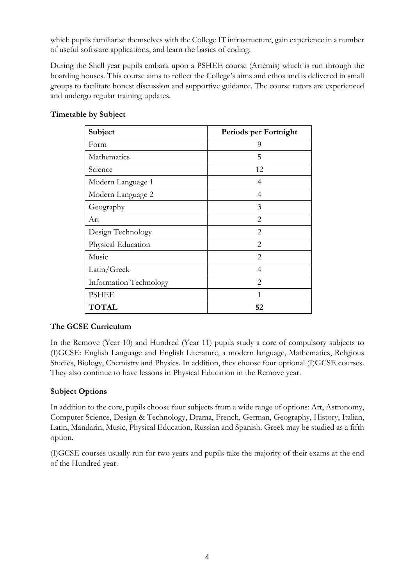which pupils familiarise themselves with the College IT infrastructure, gain experience in a number of useful software applications, and learn the basics of coding.

During the Shell year pupils embark upon a PSHEE course (Artemis) which is run through the boarding houses. This course aims to reflect the College's aims and ethos and is delivered in small groups to facilitate honest discussion and supportive guidance. The course tutors are experienced and undergo regular training updates.

| Subject                | Periods per Fortnight       |
|------------------------|-----------------------------|
| Form                   | 9                           |
| Mathematics            | 5                           |
| Science                | 12                          |
| Modern Language 1      | 4                           |
| Modern Language 2      | 4                           |
| Geography              | 3                           |
| Art                    | 2                           |
| Design Technology      | 2                           |
| Physical Education     | 2                           |
| Music                  | $\mathfrak{D}$              |
| Latin/Greek            | 4                           |
| Information Technology | $\mathcal{D}_{\mathcal{L}}$ |
| <b>PSHEE</b>           | 1                           |
| <b>TOTAL</b>           | 52                          |

# **Timetable by Subject**

#### **The GCSE Curriculum**

In the Remove (Year 10) and Hundred (Year 11) pupils study a core of compulsory subjects to (I)GCSE: English Language and English Literature, a modern language, Mathematics, Religious Studies, Biology, Chemistry and Physics. In addition, they choose four optional (I)GCSE courses. They also continue to have lessons in Physical Education in the Remove year.

# **Subject Options**

In addition to the core, pupils choose four subjects from a wide range of options: Art, Astronomy, Computer Science, Design & Technology, Drama, French, German, Geography, History, Italian, Latin, Mandarin, Music, Physical Education, Russian and Spanish. Greek may be studied as a fifth option.

(I)GCSE courses usually run for two years and pupils take the majority of their exams at the end of the Hundred year.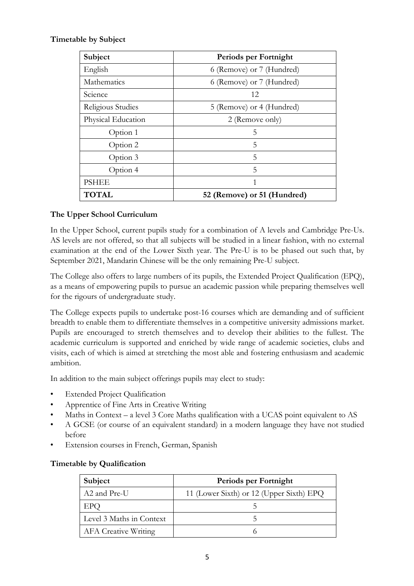# **Timetable by Subject**

| Subject            | Periods per Fortnight       |
|--------------------|-----------------------------|
| English            | 6 (Remove) or 7 (Hundred)   |
| Mathematics        | 6 (Remove) or 7 (Hundred)   |
| Science            | 12                          |
| Religious Studies  | 5 (Remove) or 4 (Hundred)   |
| Physical Education | 2 (Remove only)             |
| Option 1           | 5                           |
| Option 2           | 5                           |
| Option 3           | 5                           |
| Option 4           | 5                           |
| <b>PSHEE</b>       | 1                           |
| <b>TOTAL</b>       | 52 (Remove) or 51 (Hundred) |

# **The Upper School Curriculum**

In the Upper School, current pupils study for a combination of A levels and Cambridge Pre-Us. AS levels are not offered, so that all subjects will be studied in a linear fashion, with no external examination at the end of the Lower Sixth year. The Pre-U is to be phased out such that, by September 2021, Mandarin Chinese will be the only remaining Pre-U subject.

The College also offers to large numbers of its pupils, the Extended Project Qualification (EPQ), as a means of empowering pupils to pursue an academic passion while preparing themselves well for the rigours of undergraduate study.

The College expects pupils to undertake post-16 courses which are demanding and of sufficient breadth to enable them to differentiate themselves in a competitive university admissions market. Pupils are encouraged to stretch themselves and to develop their abilities to the fullest. The academic curriculum is supported and enriched by wide range of academic societies, clubs and visits, each of which is aimed at stretching the most able and fostering enthusiasm and academic ambition.

In addition to the main subject offerings pupils may elect to study:

- **Extended Project Qualification**
- Apprentice of Fine Arts in Creative Writing
- Maths in Context a level 3 Core Maths qualification with a UCAS point equivalent to AS
- A GCSE (or course of an equivalent standard) in a modern language they have not studied before
- Extension courses in French, German, Spanish

#### **Timetable by Qualification**

| Subject                     | Periods per Fortnight                    |  |
|-----------------------------|------------------------------------------|--|
| A2 and Pre-U                | 11 (Lower Sixth) or 12 (Upper Sixth) EPQ |  |
| EPQ                         |                                          |  |
| Level 3 Maths in Context    |                                          |  |
| <b>AFA</b> Creative Writing |                                          |  |